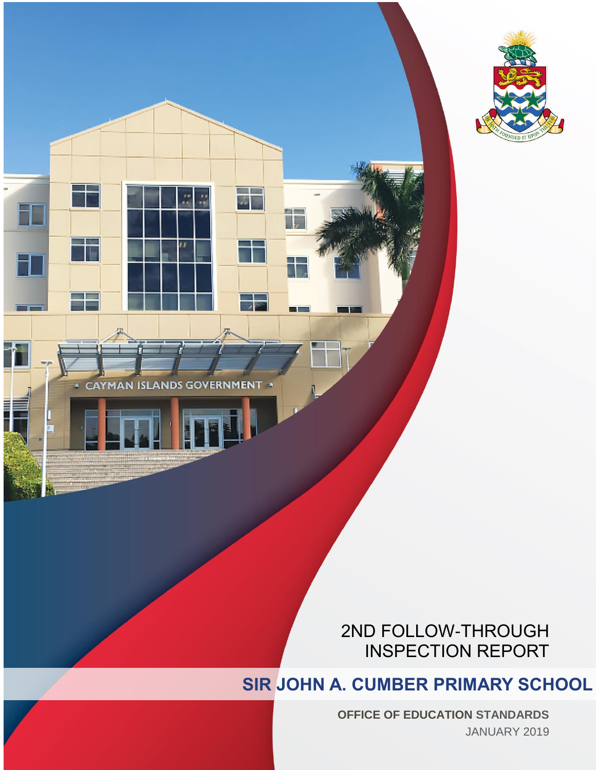



# 2ND FOLLOW-THROUGH INSPECTION REPORT

# **SIR JOHN A. CUMBER PRIMARY SCHOOL**

**OFFICE OF EDUCATION STANDARDS** JANUARY 2019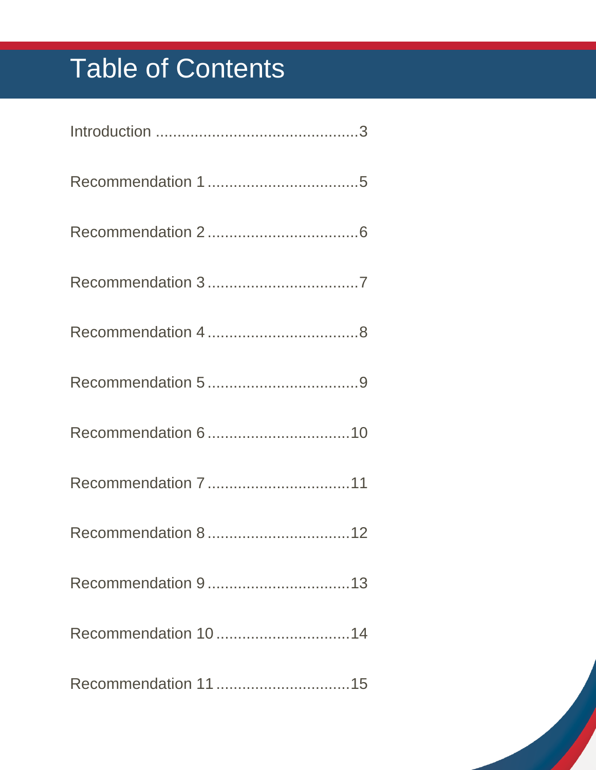# Table of Contents

| Recommendation 1014 |
|---------------------|
|                     |

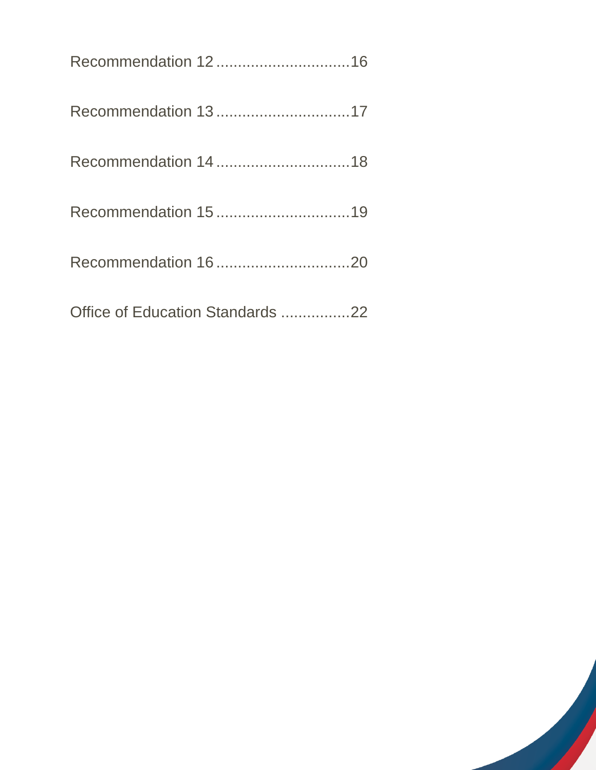| Office of Education Standards 22 |  |
|----------------------------------|--|

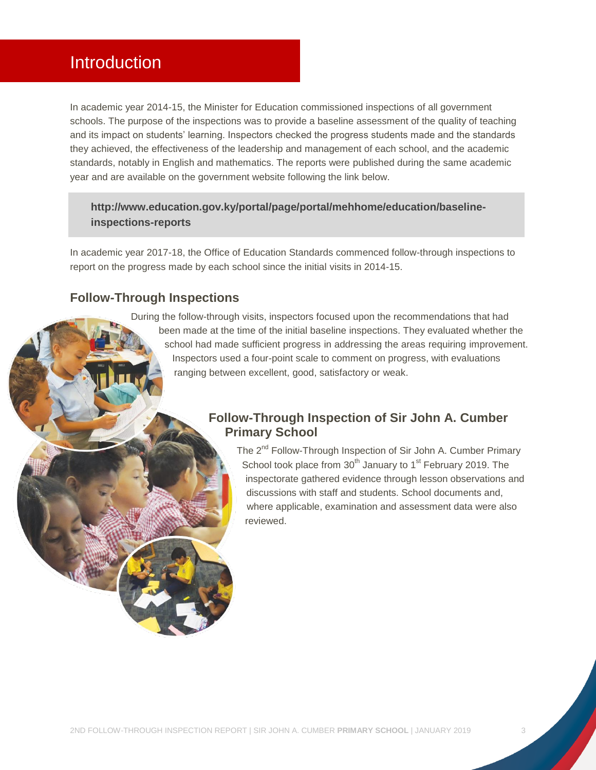## <span id="page-3-0"></span>Introduction

In academic year 2014-15, the Minister for Education commissioned inspections of all government schools. The purpose of the inspections was to provide a baseline assessment of the quality of teaching and its impact on students' learning. Inspectors checked the progress students made and the standards they achieved, the effectiveness of the leadership and management of each school, and the academic standards, notably in English and mathematics. The reports were published during the same academic year and are available on the government website following the link below.

#### **[http://www.education.gov.ky/portal/page/portal/mehhome/education/baseline](http://www.education.gov.ky/portal/page/portal/mehhome/education/baseline-inspections-reports)[inspections-reports](http://www.education.gov.ky/portal/page/portal/mehhome/education/baseline-inspections-reports)**

In academic year 2017-18, the Office of Education Standards commenced follow-through inspections to report on the progress made by each school since the initial visits in 2014-15.

#### **Follow-Through Inspections**

During the follow-through visits, inspectors focused upon the recommendations that had been made at the time of the initial baseline inspections. They evaluated whether the school had made sufficient progress in addressing the areas requiring improvement. Inspectors used a four-point scale to comment on progress, with evaluations ranging between excellent, good, satisfactory or weak.

#### **Follow-Through Inspection of Sir John A. Cumber Primary School**

The 2<sup>nd</sup> Follow-Through Inspection of Sir John A. Cumber Primary School took place from 30<sup>th</sup> January to 1<sup>st</sup> February 2019. The inspectorate gathered evidence through lesson observations and discussions with staff and students. School documents and, where applicable, examination and assessment data were also reviewed.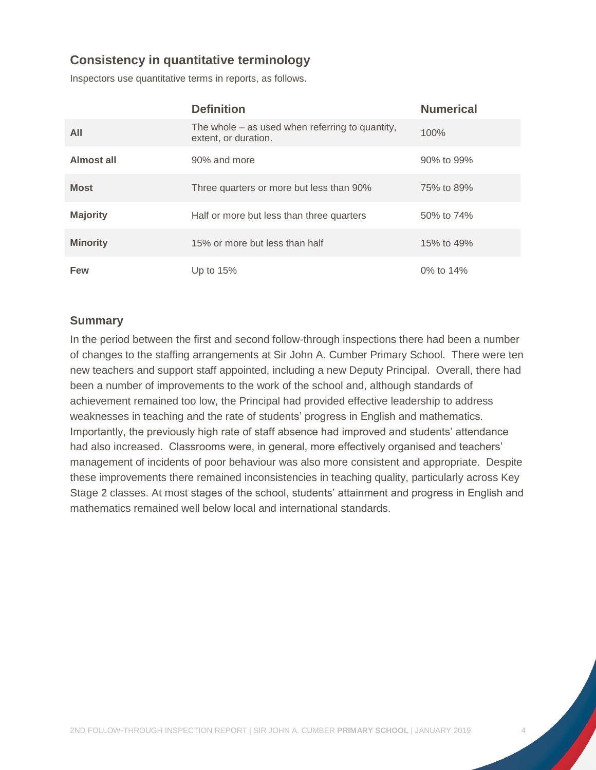#### **Consistency in quantitative terminology**

Inspectors use quantitative terms in reports, as follows.

|                 | <b>Definition</b>                                                         | <b>Numerical</b> |
|-----------------|---------------------------------------------------------------------------|------------------|
| All             | The whole $-$ as used when referring to quantity,<br>extent, or duration. | 100%             |
| Almost all      | 90% and more                                                              | 90% to 99%       |
| <b>Most</b>     | Three quarters or more but less than 90%                                  | 75% to 89%       |
| <b>Majority</b> | Half or more but less than three quarters                                 | 50% to 74%       |
| <b>Minority</b> | 15% or more but less than half                                            | 15% to 49%       |
| Few             | Up to $15%$                                                               | 0% to 14%        |

#### **Summary**

In the period between the first and second follow-through inspections there had been a number of changes to the staffing arrangements at Sir John A. Cumber Primary School. There were ten new teachers and support staff appointed, including a new Deputy Principal. Overall, there had been a number of improvements to the work of the school and, although standards of achievement remained too low, the Principal had provided effective leadership to address weaknesses in teaching and the rate of students' progress in English and mathematics. Importantly, the previously high rate of staff absence had improved and students' attendance had also increased. Classrooms were, in general, more effectively organised and teachers' management of incidents of poor behaviour was also more consistent and appropriate. Despite these improvements there remained inconsistencies in teaching quality, particularly across Key Stage 2 classes. At most stages of the school, students' attainment and progress in English and mathematics remained well below local and international standards.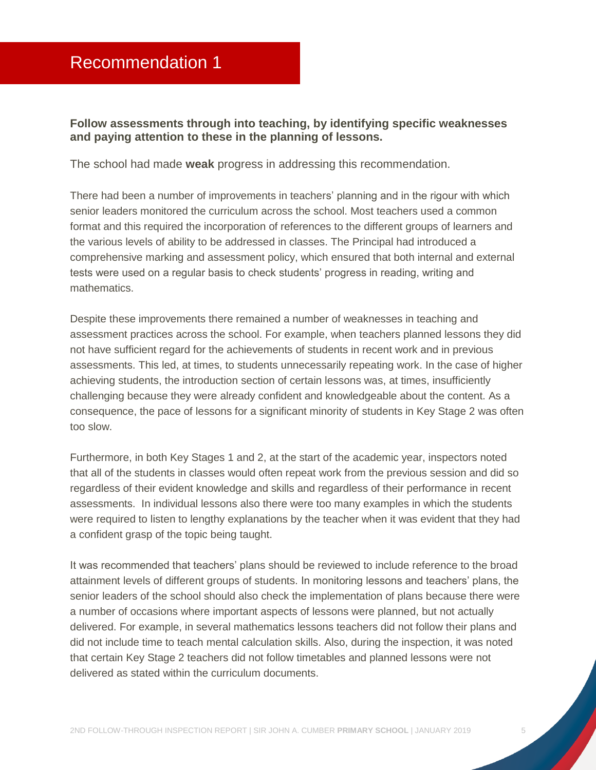#### <span id="page-5-0"></span>**Follow assessments through into teaching, by identifying specific weaknesses and paying attention to these in the planning of lessons.**

The school had made **weak** progress in addressing this recommendation.

There had been a number of improvements in teachers' planning and in the rigour with which senior leaders monitored the curriculum across the school. Most teachers used a common format and this required the incorporation of references to the different groups of learners and the various levels of ability to be addressed in classes. The Principal had introduced a comprehensive marking and assessment policy, which ensured that both internal and external tests were used on a regular basis to check students' progress in reading, writing and mathematics.

Despite these improvements there remained a number of weaknesses in teaching and assessment practices across the school. For example, when teachers planned lessons they did not have sufficient regard for the achievements of students in recent work and in previous assessments. This led, at times, to students unnecessarily repeating work. In the case of higher achieving students, the introduction section of certain lessons was, at times, insufficiently challenging because they were already confident and knowledgeable about the content. As a consequence, the pace of lessons for a significant minority of students in Key Stage 2 was often too slow.

Furthermore, in both Key Stages 1 and 2, at the start of the academic year, inspectors noted that all of the students in classes would often repeat work from the previous session and did so regardless of their evident knowledge and skills and regardless of their performance in recent assessments. In individual lessons also there were too many examples in which the students were required to listen to lengthy explanations by the teacher when it was evident that they had a confident grasp of the topic being taught.

It was recommended that teachers' plans should be reviewed to include reference to the broad attainment levels of different groups of students. In monitoring lessons and teachers' plans, the senior leaders of the school should also check the implementation of plans because there were a number of occasions where important aspects of lessons were planned, but not actually delivered. For example, in several mathematics lessons teachers did not follow their plans and did not include time to teach mental calculation skills. Also, during the inspection, it was noted that certain Key Stage 2 teachers did not follow timetables and planned lessons were not delivered as stated within the curriculum documents.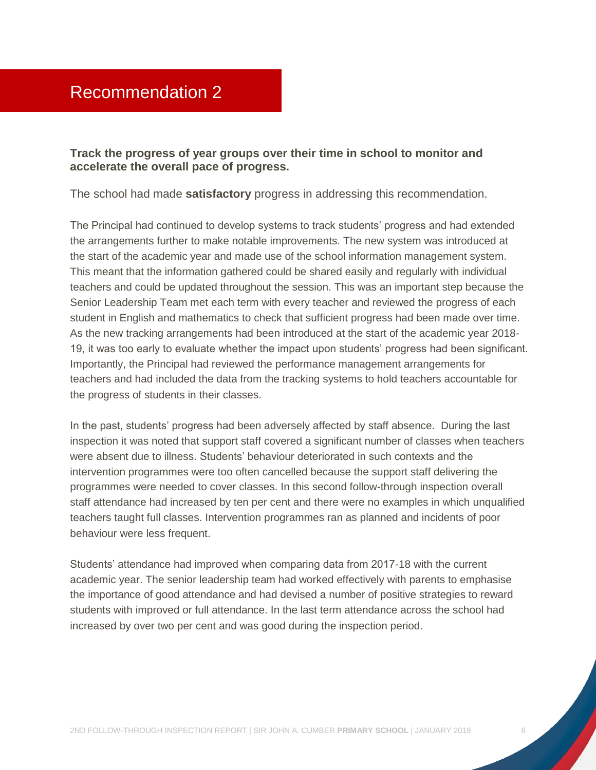<span id="page-6-0"></span>**Track the progress of year groups over their time in school to monitor and accelerate the overall pace of progress.** 

The school had made **satisfactory** progress in addressing this recommendation.

The Principal had continued to develop systems to track students' progress and had extended the arrangements further to make notable improvements. The new system was introduced at the start of the academic year and made use of the school information management system. This meant that the information gathered could be shared easily and regularly with individual teachers and could be updated throughout the session. This was an important step because the Senior Leadership Team met each term with every teacher and reviewed the progress of each student in English and mathematics to check that sufficient progress had been made over time. As the new tracking arrangements had been introduced at the start of the academic year 2018- 19, it was too early to evaluate whether the impact upon students' progress had been significant. Importantly, the Principal had reviewed the performance management arrangements for teachers and had included the data from the tracking systems to hold teachers accountable for the progress of students in their classes.

In the past, students' progress had been adversely affected by staff absence. During the last inspection it was noted that support staff covered a significant number of classes when teachers were absent due to illness. Students' behaviour deteriorated in such contexts and the intervention programmes were too often cancelled because the support staff delivering the programmes were needed to cover classes. In this second follow-through inspection overall staff attendance had increased by ten per cent and there were no examples in which unqualified teachers taught full classes. Intervention programmes ran as planned and incidents of poor behaviour were less frequent.

Students' attendance had improved when comparing data from 2017-18 with the current academic year. The senior leadership team had worked effectively with parents to emphasise the importance of good attendance and had devised a number of positive strategies to reward students with improved or full attendance. In the last term attendance across the school had increased by over two per cent and was good during the inspection period.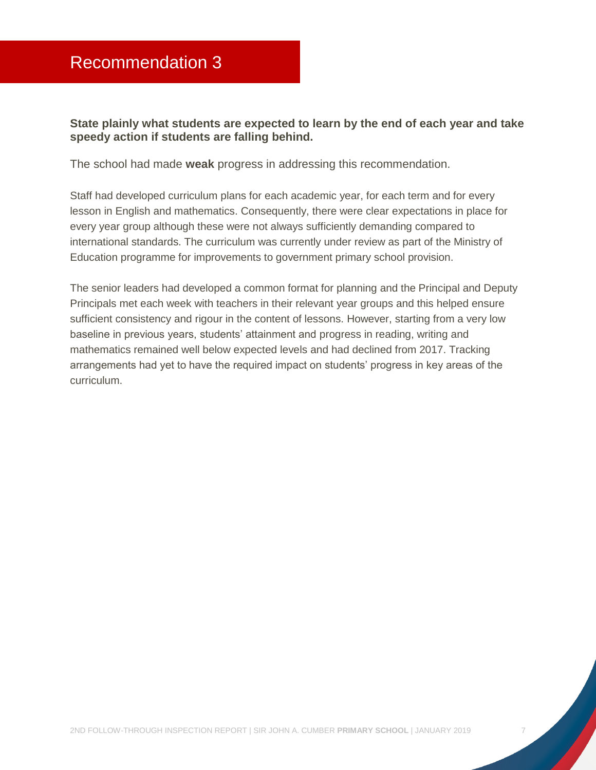<span id="page-7-0"></span>**State plainly what students are expected to learn by the end of each year and take speedy action if students are falling behind.** 

The school had made **weak** progress in addressing this recommendation.

Staff had developed curriculum plans for each academic year, for each term and for every lesson in English and mathematics. Consequently, there were clear expectations in place for every year group although these were not always sufficiently demanding compared to international standards. The curriculum was currently under review as part of the Ministry of Education programme for improvements to government primary school provision.

The senior leaders had developed a common format for planning and the Principal and Deputy Principals met each week with teachers in their relevant year groups and this helped ensure sufficient consistency and rigour in the content of lessons. However, starting from a very low baseline in previous years, students' attainment and progress in reading, writing and mathematics remained well below expected levels and had declined from 2017. Tracking arrangements had yet to have the required impact on students' progress in key areas of the curriculum.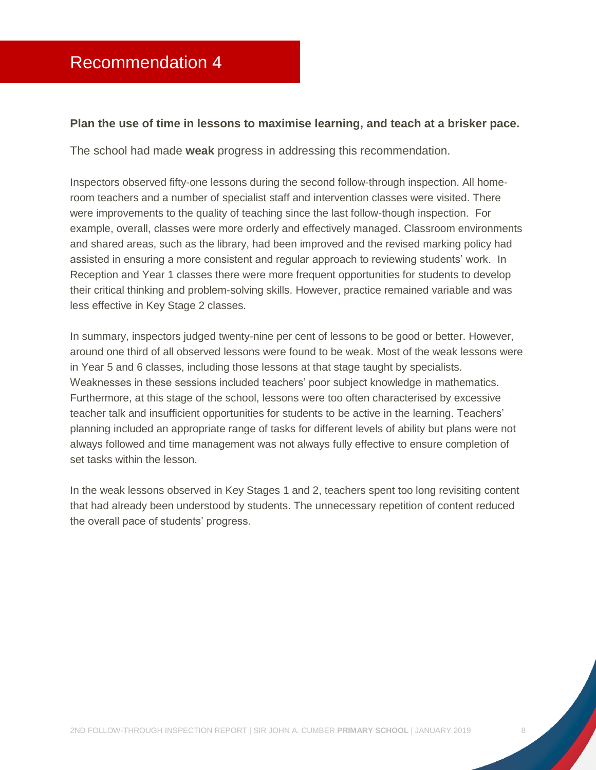#### <span id="page-8-0"></span>**Plan the use of time in lessons to maximise learning, and teach at a brisker pace.**

The school had made **weak** progress in addressing this recommendation.

Inspectors observed fifty-one lessons during the second follow-through inspection. All homeroom teachers and a number of specialist staff and intervention classes were visited. There were improvements to the quality of teaching since the last follow-though inspection. For example, overall, classes were more orderly and effectively managed. Classroom environments and shared areas, such as the library, had been improved and the revised marking policy had assisted in ensuring a more consistent and regular approach to reviewing students' work. In Reception and Year 1 classes there were more frequent opportunities for students to develop their critical thinking and problem-solving skills. However, practice remained variable and was less effective in Key Stage 2 classes.

In summary, inspectors judged twenty-nine per cent of lessons to be good or better. However, around one third of all observed lessons were found to be weak. Most of the weak lessons were in Year 5 and 6 classes, including those lessons at that stage taught by specialists. Weaknesses in these sessions included teachers' poor subject knowledge in mathematics. Furthermore, at this stage of the school, lessons were too often characterised by excessive teacher talk and insufficient opportunities for students to be active in the learning. Teachers' planning included an appropriate range of tasks for different levels of ability but plans were not always followed and time management was not always fully effective to ensure completion of set tasks within the lesson.

In the weak lessons observed in Key Stages 1 and 2, teachers spent too long revisiting content that had already been understood by students. The unnecessary repetition of content reduced the overall pace of students' progress.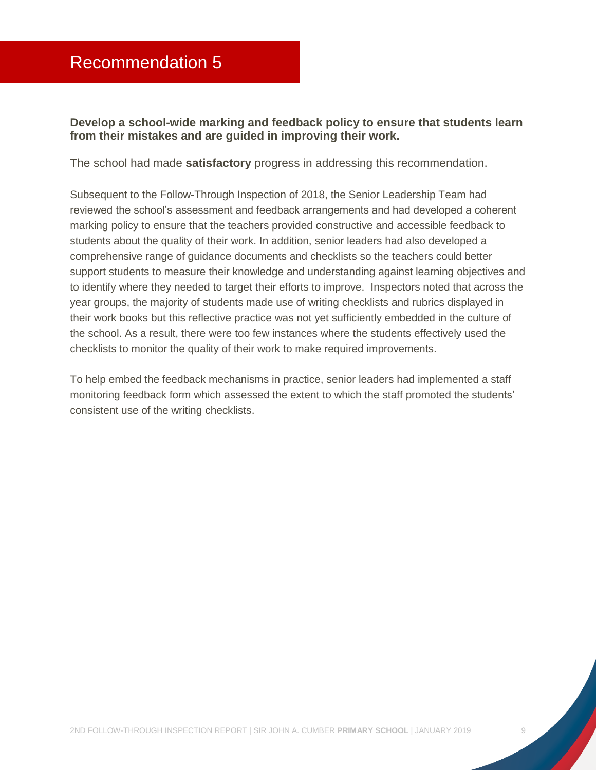<span id="page-9-0"></span>**Develop a school-wide marking and feedback policy to ensure that students learn from their mistakes and are guided in improving their work.** 

The school had made **satisfactory** progress in addressing this recommendation.

Subsequent to the Follow-Through Inspection of 2018, the Senior Leadership Team had reviewed the school's assessment and feedback arrangements and had developed a coherent marking policy to ensure that the teachers provided constructive and accessible feedback to students about the quality of their work. In addition, senior leaders had also developed a comprehensive range of guidance documents and checklists so the teachers could better support students to measure their knowledge and understanding against learning objectives and to identify where they needed to target their efforts to improve. Inspectors noted that across the year groups, the majority of students made use of writing checklists and rubrics displayed in their work books but this reflective practice was not yet sufficiently embedded in the culture of the school. As a result, there were too few instances where the students effectively used the checklists to monitor the quality of their work to make required improvements.

To help embed the feedback mechanisms in practice, senior leaders had implemented a staff monitoring feedback form which assessed the extent to which the staff promoted the students' consistent use of the writing checklists.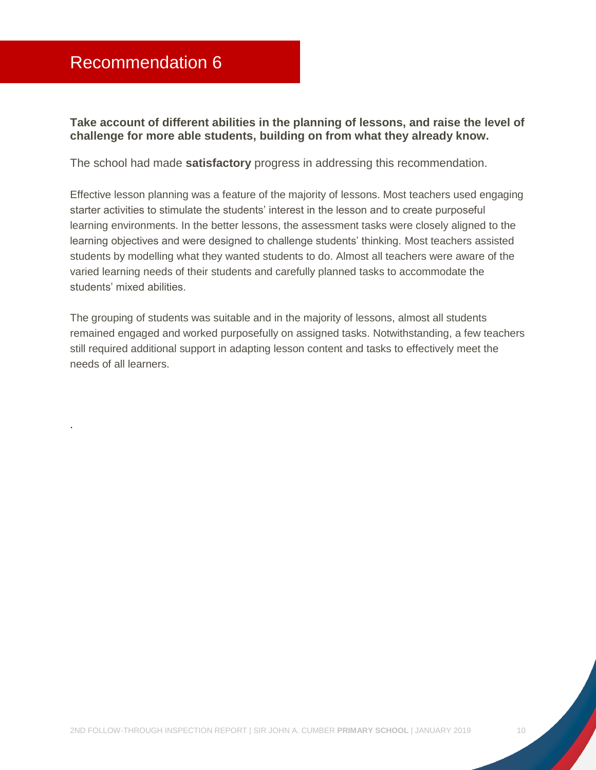### <span id="page-10-0"></span>Recommendation 6

.

**Take account of different abilities in the planning of lessons, and raise the level of challenge for more able students, building on from what they already know.** 

The school had made **satisfactory** progress in addressing this recommendation.

Effective lesson planning was a feature of the majority of lessons. Most teachers used engaging starter activities to stimulate the students' interest in the lesson and to create purposeful learning environments. In the better lessons, the assessment tasks were closely aligned to the learning objectives and were designed to challenge students' thinking. Most teachers assisted students by modelling what they wanted students to do. Almost all teachers were aware of the varied learning needs of their students and carefully planned tasks to accommodate the students' mixed abilities.

The grouping of students was suitable and in the majority of lessons, almost all students remained engaged and worked purposefully on assigned tasks. Notwithstanding, a few teachers still required additional support in adapting lesson content and tasks to effectively meet the needs of all learners.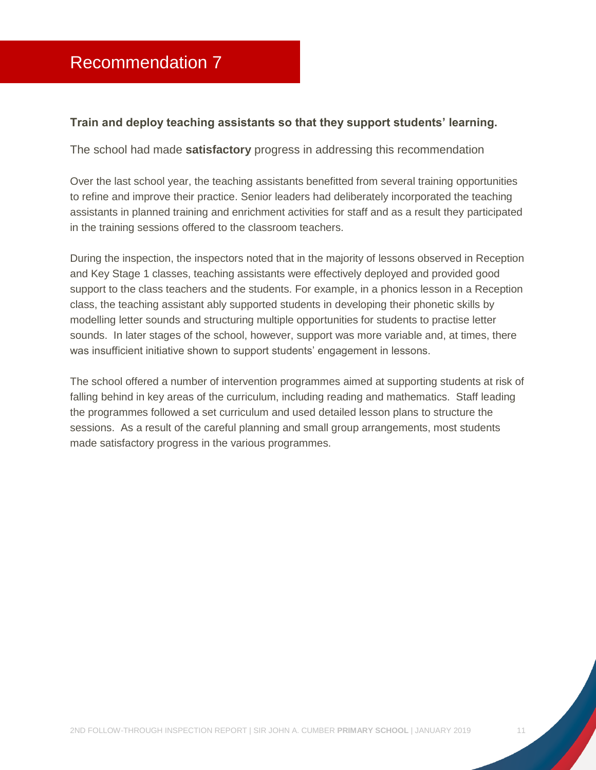#### <span id="page-11-0"></span>**Train and deploy teaching assistants so that they support students' learning.**

The school had made **satisfactory** progress in addressing this recommendation

Over the last school year, the teaching assistants benefitted from several training opportunities to refine and improve their practice. Senior leaders had deliberately incorporated the teaching assistants in planned training and enrichment activities for staff and as a result they participated in the training sessions offered to the classroom teachers.

During the inspection, the inspectors noted that in the majority of lessons observed in Reception and Key Stage 1 classes, teaching assistants were effectively deployed and provided good support to the class teachers and the students. For example, in a phonics lesson in a Reception class, the teaching assistant ably supported students in developing their phonetic skills by modelling letter sounds and structuring multiple opportunities for students to practise letter sounds. In later stages of the school, however, support was more variable and, at times, there was insufficient initiative shown to support students' engagement in lessons.

The school offered a number of intervention programmes aimed at supporting students at risk of falling behind in key areas of the curriculum, including reading and mathematics. Staff leading the programmes followed a set curriculum and used detailed lesson plans to structure the sessions. As a result of the careful planning and small group arrangements, most students made satisfactory progress in the various programmes.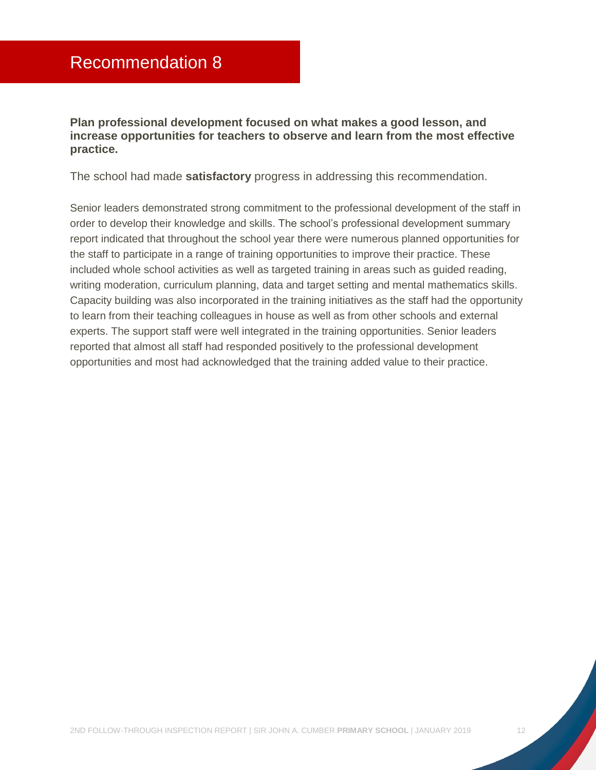<span id="page-12-0"></span>**Plan professional development focused on what makes a good lesson, and increase opportunities for teachers to observe and learn from the most effective practice.** 

The school had made **satisfactory** progress in addressing this recommendation.

Senior leaders demonstrated strong commitment to the professional development of the staff in order to develop their knowledge and skills. The school's professional development summary report indicated that throughout the school year there were numerous planned opportunities for the staff to participate in a range of training opportunities to improve their practice. These included whole school activities as well as targeted training in areas such as guided reading, writing moderation, curriculum planning, data and target setting and mental mathematics skills. Capacity building was also incorporated in the training initiatives as the staff had the opportunity to learn from their teaching colleagues in house as well as from other schools and external experts. The support staff were well integrated in the training opportunities. Senior leaders reported that almost all staff had responded positively to the professional development opportunities and most had acknowledged that the training added value to their practice.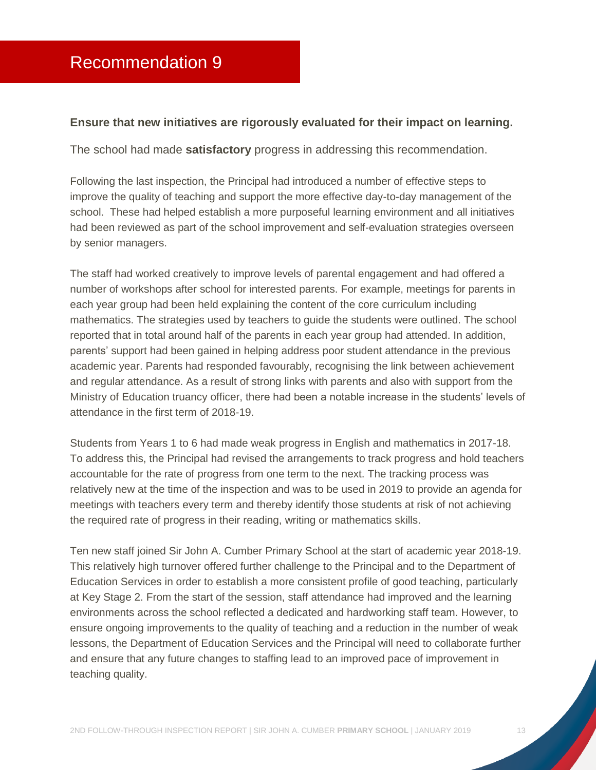#### <span id="page-13-0"></span>**Ensure that new initiatives are rigorously evaluated for their impact on learning.**

The school had made **satisfactory** progress in addressing this recommendation.

Following the last inspection, the Principal had introduced a number of effective steps to improve the quality of teaching and support the more effective day-to-day management of the school. These had helped establish a more purposeful learning environment and all initiatives had been reviewed as part of the school improvement and self-evaluation strategies overseen by senior managers.

The staff had worked creatively to improve levels of parental engagement and had offered a number of workshops after school for interested parents. For example, meetings for parents in each year group had been held explaining the content of the core curriculum including mathematics. The strategies used by teachers to guide the students were outlined. The school reported that in total around half of the parents in each year group had attended. In addition, parents' support had been gained in helping address poor student attendance in the previous academic year. Parents had responded favourably, recognising the link between achievement and regular attendance. As a result of strong links with parents and also with support from the Ministry of Education truancy officer, there had been a notable increase in the students' levels of attendance in the first term of 2018-19.

Students from Years 1 to 6 had made weak progress in English and mathematics in 2017-18. To address this, the Principal had revised the arrangements to track progress and hold teachers accountable for the rate of progress from one term to the next. The tracking process was relatively new at the time of the inspection and was to be used in 2019 to provide an agenda for meetings with teachers every term and thereby identify those students at risk of not achieving the required rate of progress in their reading, writing or mathematics skills.

Ten new staff joined Sir John A. Cumber Primary School at the start of academic year 2018-19. This relatively high turnover offered further challenge to the Principal and to the Department of Education Services in order to establish a more consistent profile of good teaching, particularly at Key Stage 2. From the start of the session, staff attendance had improved and the learning environments across the school reflected a dedicated and hardworking staff team. However, to ensure ongoing improvements to the quality of teaching and a reduction in the number of weak lessons, the Department of Education Services and the Principal will need to collaborate further and ensure that any future changes to staffing lead to an improved pace of improvement in teaching quality.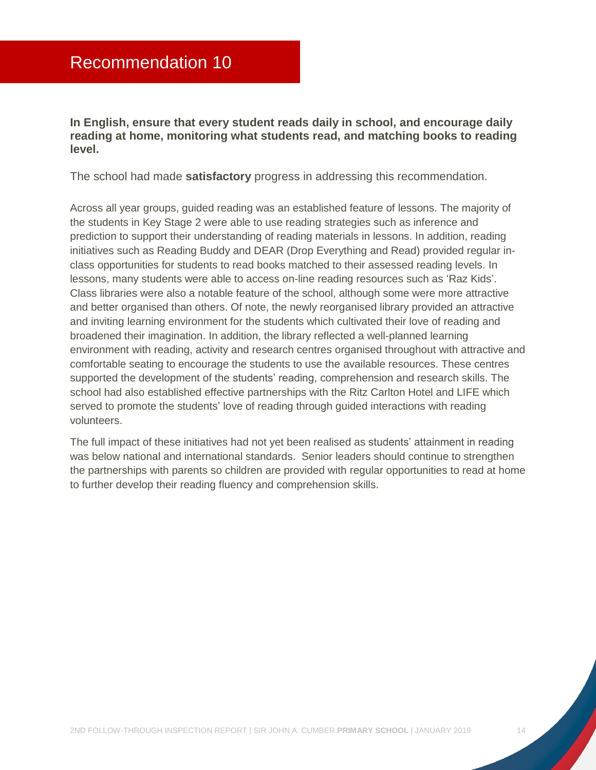<span id="page-14-0"></span>**In English, ensure that every student reads daily in school, and encourage daily reading at home, monitoring what students read, and matching books to reading level.** 

The school had made **satisfactory** progress in addressing this recommendation.

Across all year groups, guided reading was an established feature of lessons. The majority of the students in Key Stage 2 were able to use reading strategies such as inference and prediction to support their understanding of reading materials in lessons. In addition, reading initiatives such as Reading Buddy and DEAR (Drop Everything and Read) provided regular inclass opportunities for students to read books matched to their assessed reading levels. In lessons, many students were able to access on-line reading resources such as 'Raz Kids'. Class libraries were also a notable feature of the school, although some were more attractive and better organised than others. Of note, the newly reorganised library provided an attractive and inviting learning environment for the students which cultivated their love of reading and broadened their imagination. In addition, the library reflected a well-planned learning environment with reading, activity and research centres organised throughout with attractive and comfortable seating to encourage the students to use the available resources. These centres supported the development of the students' reading, comprehension and research skills. The school had also established effective partnerships with the Ritz Carlton Hotel and LIFE which served to promote the students' love of reading through guided interactions with reading volunteers.

The full impact of these initiatives had not yet been realised as students' attainment in reading was below national and international standards. Senior leaders should continue to strengthen the partnerships with parents so children are provided with regular opportunities to read at home to further develop their reading fluency and comprehension skills.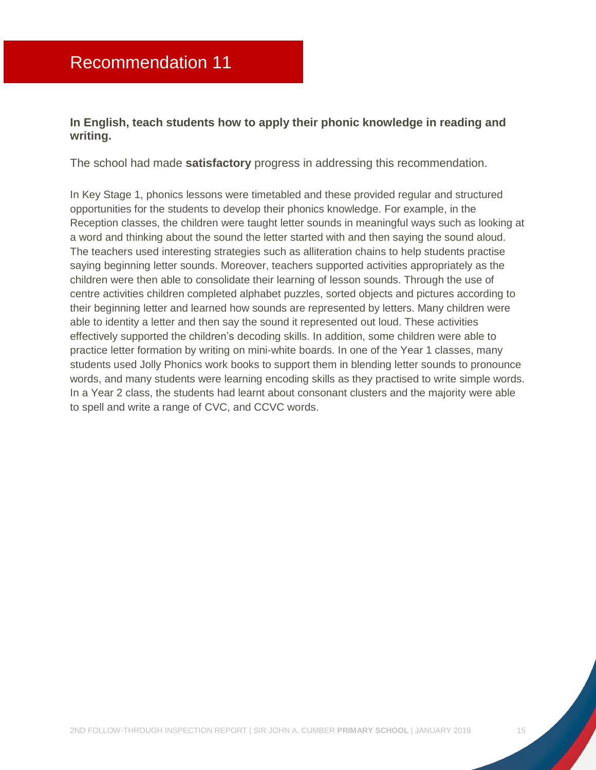#### <span id="page-15-0"></span>**In English, teach students how to apply their phonic knowledge in reading and writing.**

The school had made **satisfactory** progress in addressing this recommendation.

In Key Stage 1, phonics lessons were timetabled and these provided regular and structured opportunities for the students to develop their phonics knowledge. For example, in the Reception classes, the children were taught letter sounds in meaningful ways such as looking at a word and thinking about the sound the letter started with and then saying the sound aloud. The teachers used interesting strategies such as alliteration chains to help students practise saying beginning letter sounds. Moreover, teachers supported activities appropriately as the children were then able to consolidate their learning of lesson sounds. Through the use of centre activities children completed alphabet puzzles, sorted objects and pictures according to their beginning letter and learned how sounds are represented by letters. Many children were able to identity a letter and then say the sound it represented out loud. These activities effectively supported the children's decoding skills. In addition, some children were able to practice letter formation by writing on mini-white boards. In one of the Year 1 classes, many students used Jolly Phonics work books to support them in blending letter sounds to pronounce words, and many students were learning encoding skills as they practised to write simple words. In a Year 2 class, the students had learnt about consonant clusters and the majority were able to spell and write a range of CVC, and CCVC words.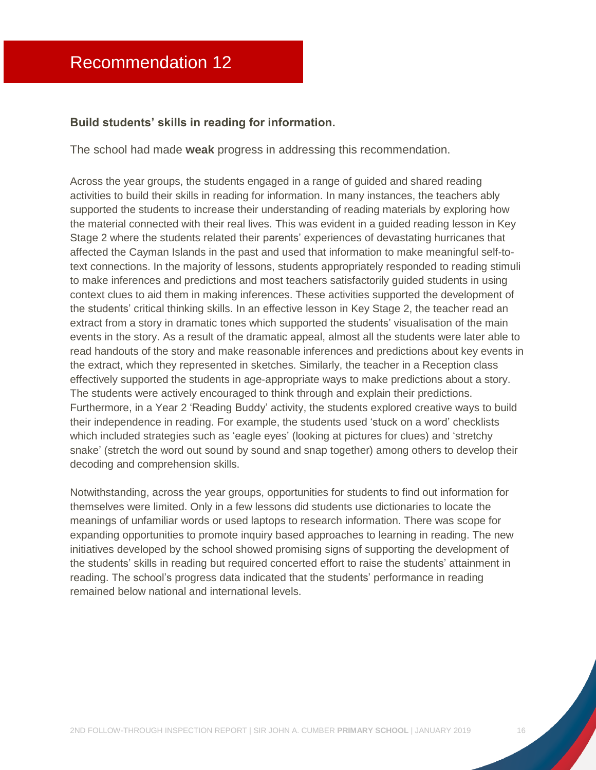#### <span id="page-16-0"></span>**Build students' skills in reading for information.**

The school had made **weak** progress in addressing this recommendation.

Across the year groups, the students engaged in a range of guided and shared reading activities to build their skills in reading for information. In many instances, the teachers ably supported the students to increase their understanding of reading materials by exploring how the material connected with their real lives. This was evident in a guided reading lesson in Key Stage 2 where the students related their parents' experiences of devastating hurricanes that affected the Cayman Islands in the past and used that information to make meaningful self-totext connections. In the majority of lessons, students appropriately responded to reading stimuli to make inferences and predictions and most teachers satisfactorily guided students in using context clues to aid them in making inferences. These activities supported the development of the students' critical thinking skills. In an effective lesson in Key Stage 2, the teacher read an extract from a story in dramatic tones which supported the students' visualisation of the main events in the story. As a result of the dramatic appeal, almost all the students were later able to read handouts of the story and make reasonable inferences and predictions about key events in the extract, which they represented in sketches. Similarly, the teacher in a Reception class effectively supported the students in age-appropriate ways to make predictions about a story. The students were actively encouraged to think through and explain their predictions. Furthermore, in a Year 2 'Reading Buddy' activity, the students explored creative ways to build their independence in reading. For example, the students used 'stuck on a word' checklists which included strategies such as 'eagle eyes' (looking at pictures for clues) and 'stretchy snake' (stretch the word out sound by sound and snap together) among others to develop their decoding and comprehension skills.

Notwithstanding, across the year groups, opportunities for students to find out information for themselves were limited. Only in a few lessons did students use dictionaries to locate the meanings of unfamiliar words or used laptops to research information. There was scope for expanding opportunities to promote inquiry based approaches to learning in reading. The new initiatives developed by the school showed promising signs of supporting the development of the students' skills in reading but required concerted effort to raise the students' attainment in reading. The school's progress data indicated that the students' performance in reading remained below national and international levels.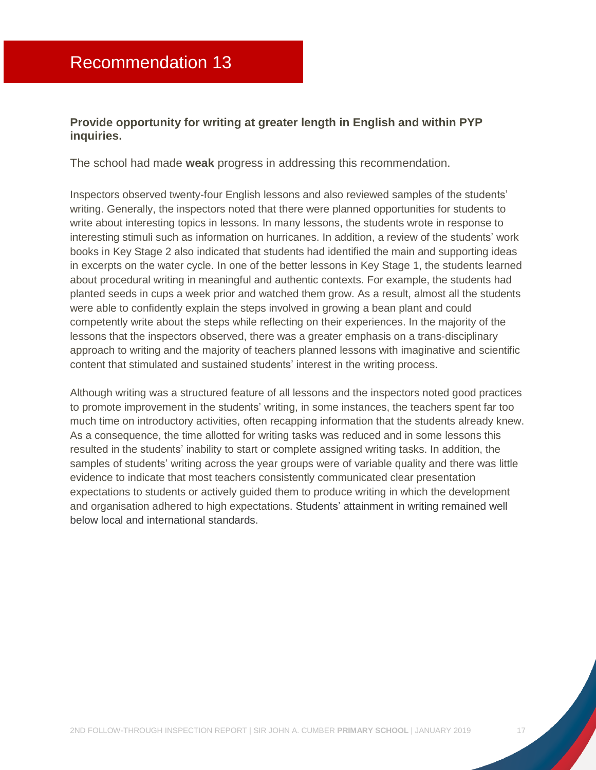#### <span id="page-17-0"></span>**Provide opportunity for writing at greater length in English and within PYP inquiries.**

The school had made **weak** progress in addressing this recommendation.

Inspectors observed twenty-four English lessons and also reviewed samples of the students' writing. Generally, the inspectors noted that there were planned opportunities for students to write about interesting topics in lessons. In many lessons, the students wrote in response to interesting stimuli such as information on hurricanes. In addition, a review of the students' work books in Key Stage 2 also indicated that students had identified the main and supporting ideas in excerpts on the water cycle. In one of the better lessons in Key Stage 1, the students learned about procedural writing in meaningful and authentic contexts. For example, the students had planted seeds in cups a week prior and watched them grow. As a result, almost all the students were able to confidently explain the steps involved in growing a bean plant and could competently write about the steps while reflecting on their experiences. In the majority of the lessons that the inspectors observed, there was a greater emphasis on a trans-disciplinary approach to writing and the majority of teachers planned lessons with imaginative and scientific content that stimulated and sustained students' interest in the writing process.

Although writing was a structured feature of all lessons and the inspectors noted good practices to promote improvement in the students' writing, in some instances, the teachers spent far too much time on introductory activities, often recapping information that the students already knew. As a consequence, the time allotted for writing tasks was reduced and in some lessons this resulted in the students' inability to start or complete assigned writing tasks. In addition, the samples of students' writing across the year groups were of variable quality and there was little evidence to indicate that most teachers consistently communicated clear presentation expectations to students or actively guided them to produce writing in which the development and organisation adhered to high expectations. Students' attainment in writing remained well below local and international standards.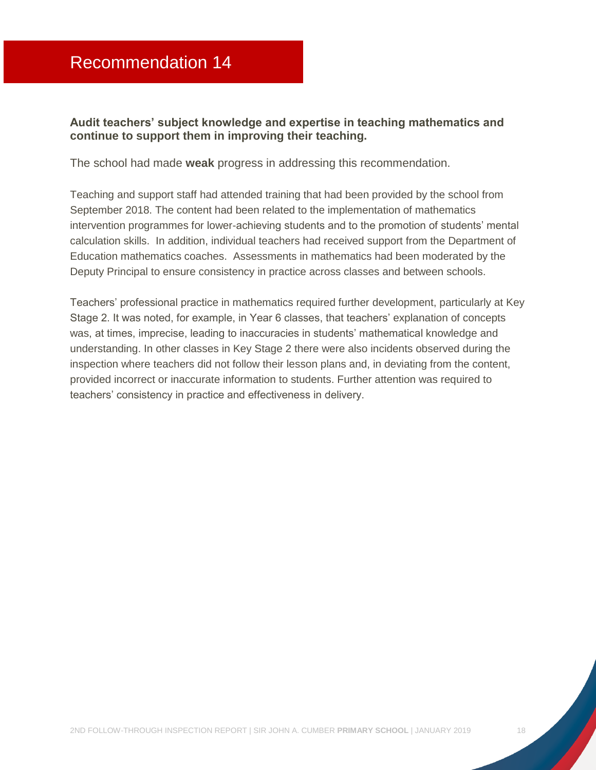#### <span id="page-18-0"></span>**Audit teachers' subject knowledge and expertise in teaching mathematics and continue to support them in improving their teaching.**

The school had made **weak** progress in addressing this recommendation.

Teaching and support staff had attended training that had been provided by the school from September 2018. The content had been related to the implementation of mathematics intervention programmes for lower-achieving students and to the promotion of students' mental calculation skills. In addition, individual teachers had received support from the Department of Education mathematics coaches. Assessments in mathematics had been moderated by the Deputy Principal to ensure consistency in practice across classes and between schools.

Teachers' professional practice in mathematics required further development, particularly at Key Stage 2. It was noted, for example, in Year 6 classes, that teachers' explanation of concepts was, at times, imprecise, leading to inaccuracies in students' mathematical knowledge and understanding. In other classes in Key Stage 2 there were also incidents observed during the inspection where teachers did not follow their lesson plans and, in deviating from the content, provided incorrect or inaccurate information to students. Further attention was required to teachers' consistency in practice and effectiveness in delivery.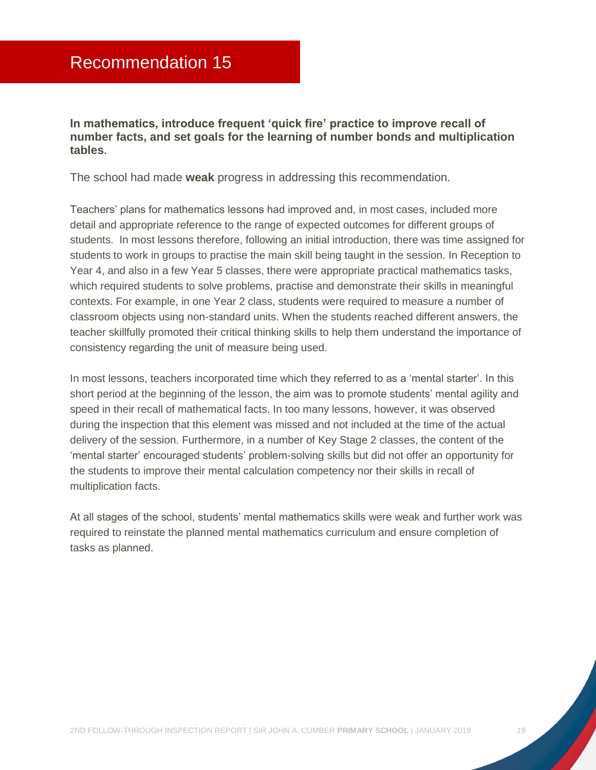<span id="page-19-0"></span>**In mathematics, introduce frequent 'quick fire' practice to improve recall of number facts, and set goals for the learning of number bonds and multiplication tables.** 

The school had made **weak** progress in addressing this recommendation.

Teachers' plans for mathematics lessons had improved and, in most cases, included more detail and appropriate reference to the range of expected outcomes for different groups of students. In most lessons therefore, following an initial introduction, there was time assigned for students to work in groups to practise the main skill being taught in the session. In Reception to Year 4, and also in a few Year 5 classes, there were appropriate practical mathematics tasks, which required students to solve problems, practise and demonstrate their skills in meaningful contexts. For example, in one Year 2 class, students were required to measure a number of classroom objects using non-standard units. When the students reached different answers, the teacher skillfully promoted their critical thinking skills to help them understand the importance of consistency regarding the unit of measure being used.

In most lessons, teachers incorporated time which they referred to as a 'mental starter'. In this short period at the beginning of the lesson, the aim was to promote students' mental agility and speed in their recall of mathematical facts. In too many lessons, however, it was observed during the inspection that this element was missed and not included at the time of the actual delivery of the session. Furthermore, in a number of Key Stage 2 classes, the content of the 'mental starter' encouraged students' problem-solving skills but did not offer an opportunity for the students to improve their mental calculation competency nor their skills in recall of multiplication facts.

At all stages of the school, students' mental mathematics skills were weak and further work was required to reinstate the planned mental mathematics curriculum and ensure completion of tasks as planned.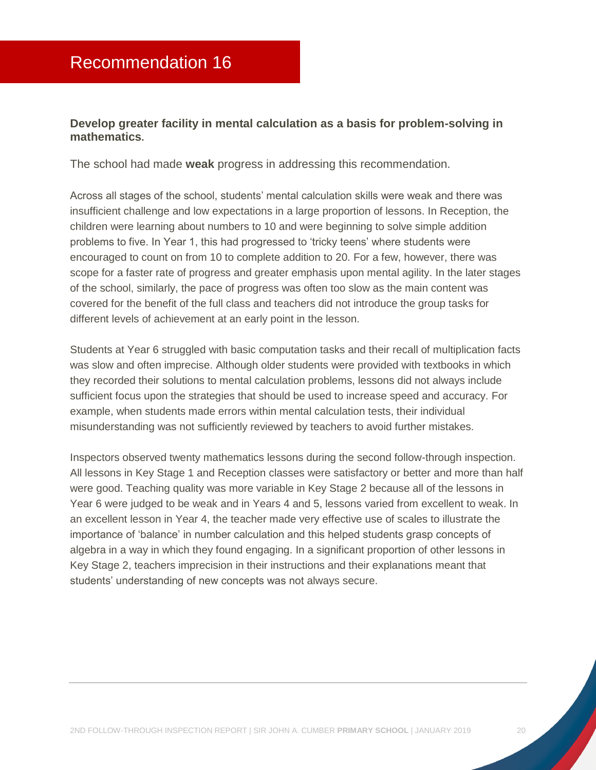#### <span id="page-20-0"></span>**Develop greater facility in mental calculation as a basis for problem-solving in mathematics.**

The school had made **weak** progress in addressing this recommendation.

Across all stages of the school, students' mental calculation skills were weak and there was insufficient challenge and low expectations in a large proportion of lessons. In Reception, the children were learning about numbers to 10 and were beginning to solve simple addition problems to five. In Year 1, this had progressed to 'tricky teens' where students were encouraged to count on from 10 to complete addition to 20. For a few, however, there was scope for a faster rate of progress and greater emphasis upon mental agility. In the later stages of the school, similarly, the pace of progress was often too slow as the main content was covered for the benefit of the full class and teachers did not introduce the group tasks for different levels of achievement at an early point in the lesson.

Students at Year 6 struggled with basic computation tasks and their recall of multiplication facts was slow and often imprecise. Although older students were provided with textbooks in which they recorded their solutions to mental calculation problems, lessons did not always include sufficient focus upon the strategies that should be used to increase speed and accuracy. For example, when students made errors within mental calculation tests, their individual misunderstanding was not sufficiently reviewed by teachers to avoid further mistakes.

Inspectors observed twenty mathematics lessons during the second follow-through inspection. All lessons in Key Stage 1 and Reception classes were satisfactory or better and more than half were good. Teaching quality was more variable in Key Stage 2 because all of the lessons in Year 6 were judged to be weak and in Years 4 and 5, lessons varied from excellent to weak. In an excellent lesson in Year 4, the teacher made very effective use of scales to illustrate the importance of 'balance' in number calculation and this helped students grasp concepts of algebra in a way in which they found engaging. In a significant proportion of other lessons in Key Stage 2, teachers imprecision in their instructions and their explanations meant that students' understanding of new concepts was not always secure.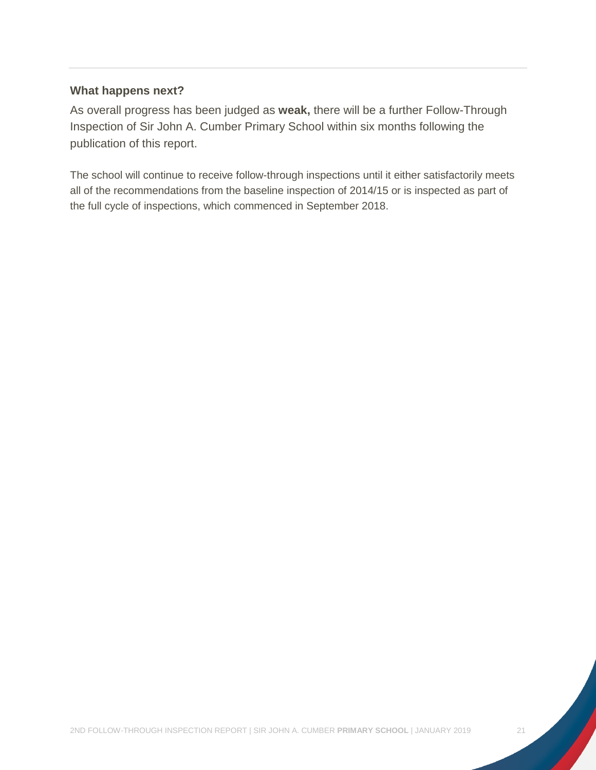#### **What happens next?**

As overall progress has been judged as **weak,** there will be a further Follow-Through Inspection of Sir John A. Cumber Primary School within six months following the publication of this report.

The school will continue to receive follow-through inspections until it either satisfactorily meets all of the recommendations from the baseline inspection of 2014/15 or is inspected as part of the full cycle of inspections, which commenced in September 2018.